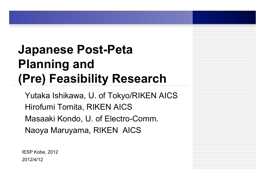## **Japanese Post-Peta Planning and (Pre) Feasibility Research**

Yutaka Ishikawa, U. of Tokyo/RIKEN AICS Hirofumi Tomita, RIKEN AICS Masaaki Kondo, U. of Electro-Comm. Naoya Maruyama, RIKEN AICS

2012/4/12 IESP Kobe, 2012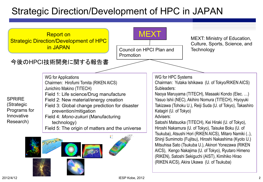## Strategic Direction/Development of HPC in JAPAN

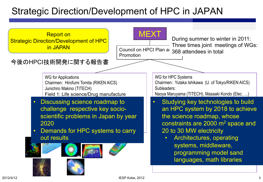## Strategic Direction/Development of HPC in JAPAN